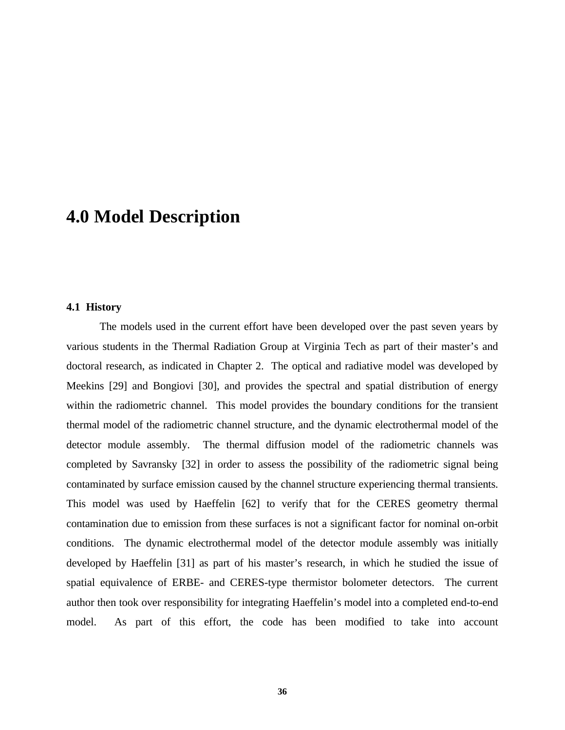# **4.0 Model Description**

### **4.1 History**

The models used in the current effort have been developed over the past seven years by various students in the Thermal Radiation Group at Virginia Tech as part of their master's and doctoral research, as indicated in Chapter 2. The optical and radiative model was developed by Meekins [29] and Bongiovi [30], and provides the spectral and spatial distribution of energy within the radiometric channel. This model provides the boundary conditions for the transient thermal model of the radiometric channel structure, and the dynamic electrothermal model of the detector module assembly. The thermal diffusion model of the radiometric channels was completed by Savransky [32] in order to assess the possibility of the radiometric signal being contaminated by surface emission caused by the channel structure experiencing thermal transients. This model was used by Haeffelin [62] to verify that for the CERES geometry thermal contamination due to emission from these surfaces is not a significant factor for nominal on-orbit conditions. The dynamic electrothermal model of the detector module assembly was initially developed by Haeffelin [31] as part of his master's research, in which he studied the issue of spatial equivalence of ERBE- and CERES-type thermistor bolometer detectors. The current author then took over responsibility for integrating Haeffelin's model into a completed end-to-end model. As part of this effort, the code has been modified to take into account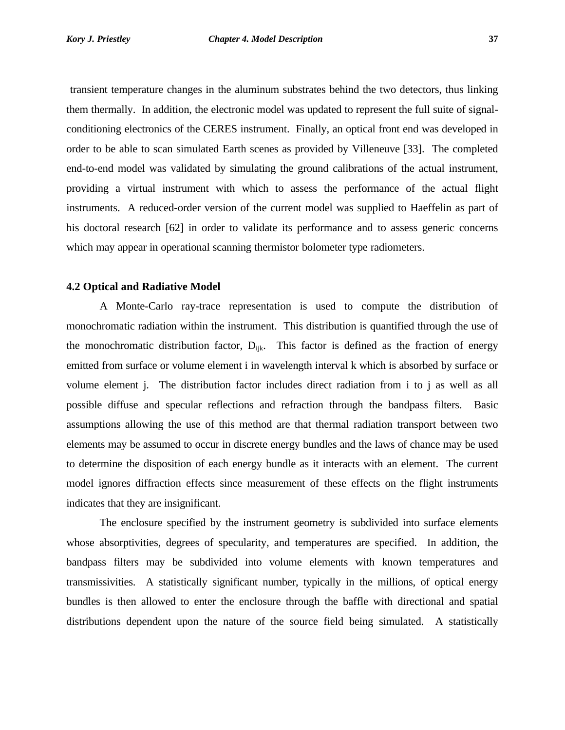transient temperature changes in the aluminum substrates behind the two detectors, thus linking them thermally. In addition, the electronic model was updated to represent the full suite of signalconditioning electronics of the CERES instrument. Finally, an optical front end was developed in order to be able to scan simulated Earth scenes as provided by Villeneuve [33]. The completed end-to-end model was validated by simulating the ground calibrations of the actual instrument, providing a virtual instrument with which to assess the performance of the actual flight instruments. A reduced-order version of the current model was supplied to Haeffelin as part of his doctoral research [62] in order to validate its performance and to assess generic concerns which may appear in operational scanning thermistor bolometer type radiometers.

#### **4.2 Optical and Radiative Model**

A Monte-Carlo ray-trace representation is used to compute the distribution of monochromatic radiation within the instrument. This distribution is quantified through the use of the monochromatic distribution factor,  $D_{ijk}$ . This factor is defined as the fraction of energy emitted from surface or volume element i in wavelength interval k which is absorbed by surface or volume element j. The distribution factor includes direct radiation from i to j as well as all possible diffuse and specular reflections and refraction through the bandpass filters. Basic assumptions allowing the use of this method are that thermal radiation transport between two elements may be assumed to occur in discrete energy bundles and the laws of chance may be used to determine the disposition of each energy bundle as it interacts with an element. The current model ignores diffraction effects since measurement of these effects on the flight instruments indicates that they are insignificant.

The enclosure specified by the instrument geometry is subdivided into surface elements whose absorptivities, degrees of specularity, and temperatures are specified. In addition, the bandpass filters may be subdivided into volume elements with known temperatures and transmissivities. A statistically significant number, typically in the millions, of optical energy bundles is then allowed to enter the enclosure through the baffle with directional and spatial distributions dependent upon the nature of the source field being simulated. A statistically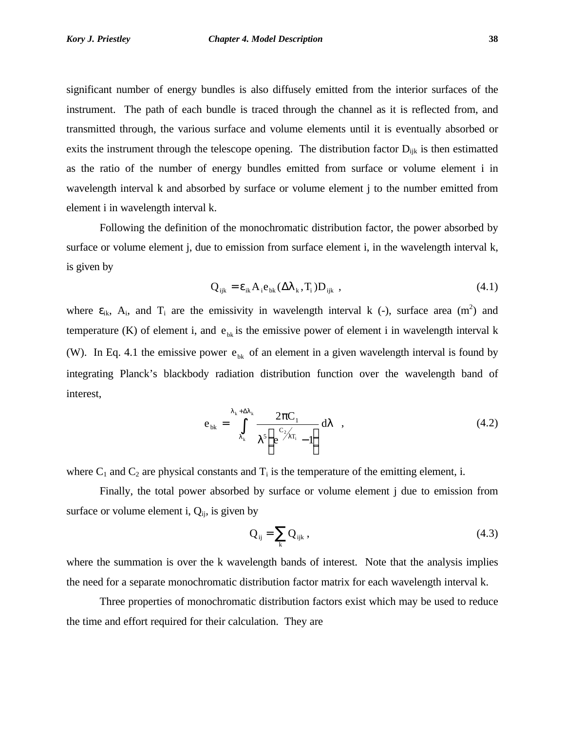significant number of energy bundles is also diffusely emitted from the interior surfaces of the instrument. The path of each bundle is traced through the channel as it is reflected from, and transmitted through, the various surface and volume elements until it is eventually absorbed or exits the instrument through the telescope opening. The distribution factor  $D_{ijk}$  is then estimatted as the ratio of the number of energy bundles emitted from surface or volume element i in wavelength interval k and absorbed by surface or volume element j to the number emitted from element i in wavelength interval k.

Following the definition of the monochromatic distribution factor, the power absorbed by surface or volume element j, due to emission from surface element i, in the wavelength interval k, is given by

$$
Q_{ijk} = \varepsilon_{ik} A_i e_{bk} (\Delta \lambda_k, T_i) D_{ijk} ,
$$
 (4.1)

where  $\varepsilon_{ik}$ ,  $A_i$ , and  $T_i$  are the emissivity in wavelength interval k (-), surface area (m<sup>2</sup>) and temperature (K) of element i, and  $e_{bk}$  is the emissive power of element i in wavelength interval k (W). In Eq. 4.1 the emissive power  $e_{bk}$  of an element in a given wavelength interval is found by integrating Planck's blackbody radiation distribution function over the wavelength band of interest,

$$
e_{bk} = \int_{\lambda_k}^{\lambda_k + \Delta\lambda_k} \frac{2\pi C_1}{\lambda^5 \left(e^{\frac{C_2}{\lambda_{\lambda_i}}} - 1\right)} d\lambda , \qquad (4.2)
$$

where  $C_1$  and  $C_2$  are physical constants and  $T_i$  is the temperature of the emitting element, i.

Finally, the total power absorbed by surface or volume element j due to emission from surface or volume element i,  $Q_{ij}$ , is given by

$$
Q_{ij} = \sum_{k} Q_{ijk} , \qquad (4.3)
$$

where the summation is over the k wavelength bands of interest. Note that the analysis implies the need for a separate monochromatic distribution factor matrix for each wavelength interval k.

Three properties of monochromatic distribution factors exist which may be used to reduce the time and effort required for their calculation. They are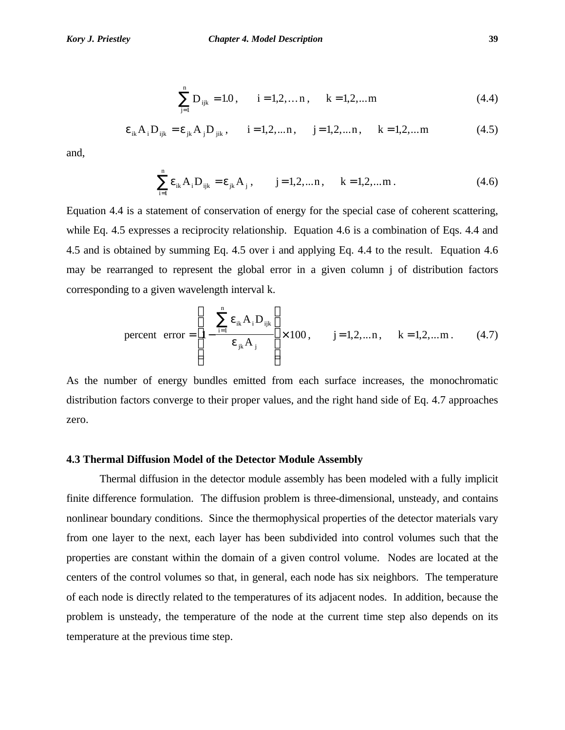$$
\sum_{j=1}^{n} D_{ijk} = 1.0, \qquad i = 1, 2, \dots n, \qquad k = 1, 2, \dots m
$$
 (4.4)

$$
\varepsilon_{ik}A_iD_{ijk} = \varepsilon_{jk}A_jD_{jik}, \quad i = 1, 2, ..., n, \quad j = 1, 2, ..., n, \quad k = 1, 2, ...m
$$
 (4.5)

and,

$$
\sum_{i=1}^{n} \varepsilon_{ik} A_i D_{ijk} = \varepsilon_{jk} A_j, \qquad j = 1, 2, \dots n, \qquad k = 1, 2, \dots m \,.
$$
 (4.6)

Equation 4.4 is a statement of conservation of energy for the special case of coherent scattering, while Eq. 4.5 expresses a reciprocity relationship. Equation 4.6 is a combination of Eqs. 4.4 and 4.5 and is obtained by summing Eq. 4.5 over i and applying Eq. 4.4 to the result. Equation 4.6 may be rearranged to represent the global error in a given column j of distribution factors corresponding to a given wavelength interval k.

percent error 
$$
=\left[1 - \frac{\sum_{i=1}^{n} \varepsilon_{ik} A_i D_{ijk}}{\varepsilon_{jk} A_j}\right] \times 100, \quad j = 1, 2, ..., n, \quad k = 1, 2, ..., m.
$$
 (4.7)

As the number of energy bundles emitted from each surface increases, the monochromatic distribution factors converge to their proper values, and the right hand side of Eq. 4.7 approaches zero.

## **4.3 Thermal Diffusion Model of the Detector Module Assembly**

Thermal diffusion in the detector module assembly has been modeled with a fully implicit finite difference formulation. The diffusion problem is three-dimensional, unsteady, and contains nonlinear boundary conditions. Since the thermophysical properties of the detector materials vary from one layer to the next, each layer has been subdivided into control volumes such that the properties are constant within the domain of a given control volume. Nodes are located at the centers of the control volumes so that, in general, each node has six neighbors. The temperature of each node is directly related to the temperatures of its adjacent nodes. In addition, because the problem is unsteady, the temperature of the node at the current time step also depends on its temperature at the previous time step.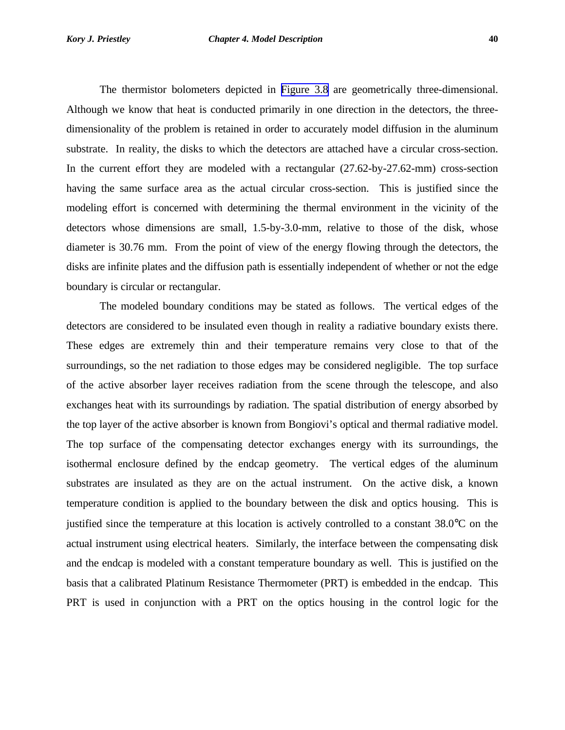The thermistor bolometers depicted in [Figure 3.8](#page-15-0) are geometrically three-dimensional. Although we know that heat is conducted primarily in one direction in the detectors, the threedimensionality of the problem is retained in order to accurately model diffusion in the aluminum substrate. In reality, the disks to which the detectors are attached have a circular cross-section. In the current effort they are modeled with a rectangular (27.62-by-27.62-mm) cross-section having the same surface area as the actual circular cross-section. This is justified since the modeling effort is concerned with determining the thermal environment in the vicinity of the detectors whose dimensions are small, 1.5-by-3.0-mm, relative to those of the disk, whose diameter is 30.76 mm. From the point of view of the energy flowing through the detectors, the disks are infinite plates and the diffusion path is essentially independent of whether or not the edge boundary is circular or rectangular.

The modeled boundary conditions may be stated as follows. The vertical edges of the detectors are considered to be insulated even though in reality a radiative boundary exists there. These edges are extremely thin and their temperature remains very close to that of the surroundings, so the net radiation to those edges may be considered negligible. The top surface of the active absorber layer receives radiation from the scene through the telescope, and also exchanges heat with its surroundings by radiation. The spatial distribution of energy absorbed by the top layer of the active absorber is known from Bongiovi's optical and thermal radiative model. The top surface of the compensating detector exchanges energy with its surroundings, the isothermal enclosure defined by the endcap geometry. The vertical edges of the aluminum substrates are insulated as they are on the actual instrument. On the active disk, a known temperature condition is applied to the boundary between the disk and optics housing. This is justified since the temperature at this location is actively controlled to a constant 38.0°C on the actual instrument using electrical heaters. Similarly, the interface between the compensating disk and the endcap is modeled with a constant temperature boundary as well. This is justified on the basis that a calibrated Platinum Resistance Thermometer (PRT) is embedded in the endcap. This PRT is used in conjunction with a PRT on the optics housing in the control logic for the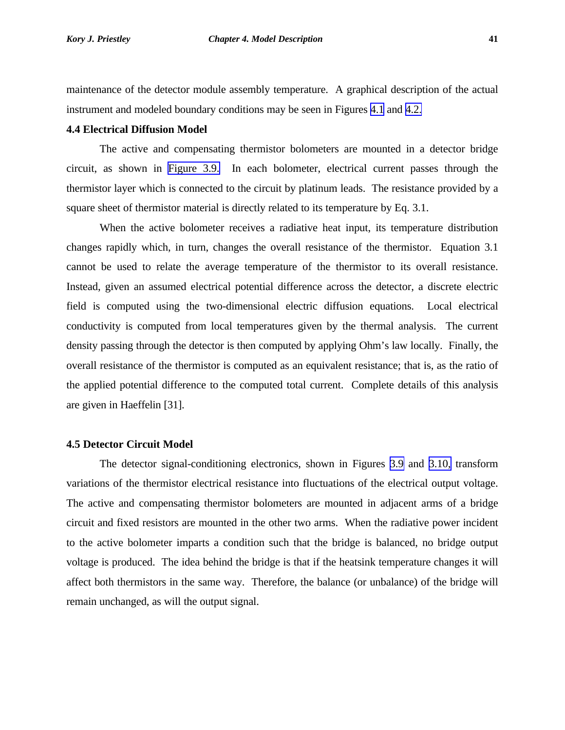maintenance of the detector module assembly temperature. A graphical description of the actual instrument and modeled boundary conditions may be seen in Figures [4.1](#page-24-0) and [4.2.](#page-25-0)

### **4.4 Electrical Diffusion Model**

The active and compensating thermistor bolometers are mounted in a detector bridge circuit, as shown in [Figure 3.9.](#page-16-0) In each bolometer, electrical current passes through the thermistor layer which is connected to the circuit by platinum leads. The resistance provided by a square sheet of thermistor material is directly related to its temperature by Eq. 3.1.

When the active bolometer receives a radiative heat input, its temperature distribution changes rapidly which, in turn, changes the overall resistance of the thermistor. Equation 3.1 cannot be used to relate the average temperature of the thermistor to its overall resistance. Instead, given an assumed electrical potential difference across the detector, a discrete electric field is computed using the two-dimensional electric diffusion equations. Local electrical conductivity is computed from local temperatures given by the thermal analysis. The current density passing through the detector is then computed by applying Ohm's law locally. Finally, the overall resistance of the thermistor is computed as an equivalent resistance; that is, as the ratio of the applied potential difference to the computed total current. Complete details of this analysis are given in Haeffelin [31].

## **4.5 Detector Circuit Model**

The detector signal-conditioning electronics, shown in Figures [3.9](#page-16-0) and [3.10,](#page-17-0) transform variations of the thermistor electrical resistance into fluctuations of the electrical output voltage. The active and compensating thermistor bolometers are mounted in adjacent arms of a bridge circuit and fixed resistors are mounted in the other two arms. When the radiative power incident to the active bolometer imparts a condition such that the bridge is balanced, no bridge output voltage is produced. The idea behind the bridge is that if the heatsink temperature changes it will affect both thermistors in the same way. Therefore, the balance (or unbalance) of the bridge will remain unchanged, as will the output signal.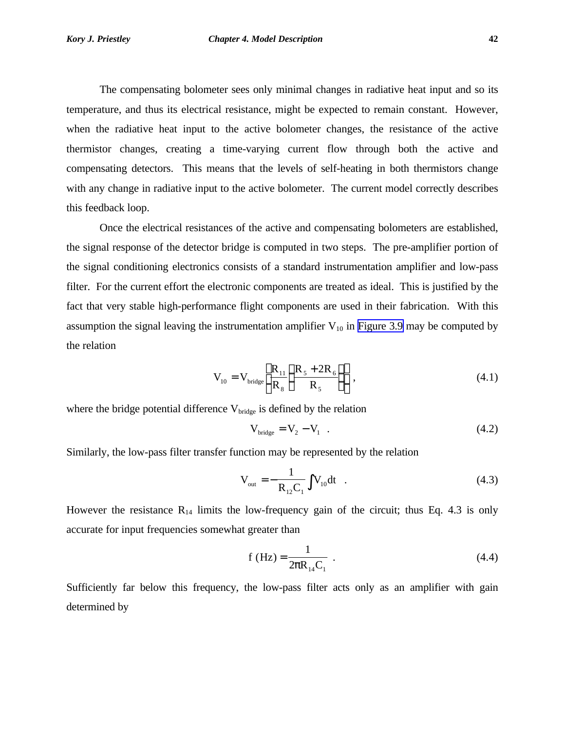The compensating bolometer sees only minimal changes in radiative heat input and so its temperature, and thus its electrical resistance, might be expected to remain constant. However, when the radiative heat input to the active bolometer changes, the resistance of the active thermistor changes, creating a time-varying current flow through both the active and compensating detectors. This means that the levels of self-heating in both thermistors change with any change in radiative input to the active bolometer. The current model correctly describes this feedback loop.

Once the electrical resistances of the active and compensating bolometers are established, the signal response of the detector bridge is computed in two steps. The pre-amplifier portion of the signal conditioning electronics consists of a standard instrumentation amplifier and low-pass filter. For the current effort the electronic components are treated as ideal. This is justified by the fact that very stable high-performance flight components are used in their fabrication. With this assumption the signal leaving the instrumentation amplifier  $V_{10}$  in [Figure 3.9](#page-16-0) may be computed by the relation

$$
V_{10} = V_{\text{bridge}} \left[ \frac{R_{11}}{R_8} \left( \frac{R_5 + 2R_6}{R_5} \right) \right],
$$
 (4.1)

where the bridge potential difference  $V_{\text{bridge}}$  is defined by the relation

$$
V_{\text{bridge}} = V_2 - V_1 \tag{4.2}
$$

Similarly, the low-pass filter transfer function may be represented by the relation

$$
V_{\text{out}} = -\frac{1}{R_{12}C_1} \int V_{10} dt
$$
 (4.3)

However the resistance  $R_{14}$  limits the low-frequency gain of the circuit; thus Eq. 4.3 is only accurate for input frequencies somewhat greater than

$$
f(Hz) = \frac{1}{2pR_{14}C_1} \tag{4.4}
$$

Sufficiently far below this frequency, the low-pass filter acts only as an amplifier with gain determined by